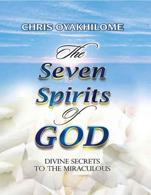## CHRIS OYAKHILOME







**DIVINE SECRETS** TO THE MIRACULOUS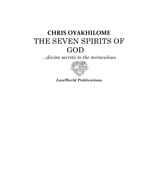## **CHRIS OYAKHILOME** THE SEVEN SPIRITS OF GOD

*...divine secrets to the miraculous*



*LoveWorld Publications*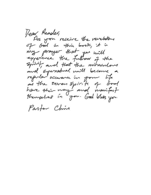Rear Reader, As you receive the revelations of bod in this book, it is my proyer that you will experience the fullness of the Spirit, and that the miraculous and sypenatural units become regular occurence in grow Life<br>as the serven spirit of Good<br>have their name and manifest themselves in Jon. God blees you. Pasto China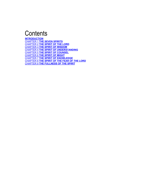### **Contents**

**[INTRODUCTION](#page-4-0)** [CHAPTER](#page-6-0) 1 **THE SEVEN SPIRITS** [CHAPTER](#page-13-0) 2 **THE SPIRIT OF THE LORD** [CHAPTER](#page-23-0) 3 **THE SPIRIT OF WISDOM** CHAPTER 4 **THE SPIRIT OF [UNDERSTANDING](#page-30-0)** CHAPTER 5 **THE SPIRIT OF [COUNSEL](#page-37-0)** [CHAPTER](#page-44-0) 6 **THE SPIRIT OF MIGHT** CHAPTER 7 **THE SPIRIT OF [KNOWLEDGE](#page-50-0)** [CHAPTER](#page-58-0) 8 **THE SPIRIT OF THE FEAR OF THE LORD** CHAPTER 9 **THE [FULLNESS](#page-61-0) OF THE SPIRIT**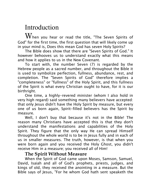### <span id="page-4-0"></span>Introduction

 $\mathbf W$ hen you hear or read the title, "The Seven Spirits of God" for the first time, the first question that will likely come up in your mind is, Does this mean God has seven Holy Spirits?

The Bible does show that there are "Seven Spirits of God." It however behooves us to understand exactly what this means and how it applies to us in the New Covenant.

To start with, the number Seven (7) is regarded by the Hebrew people as a sacred number, and throughout the Bible it is used to symbolize perfection, fullness, abundance, rest, and completion. The "Seven Spirits of God" therefore implies a "completeness" or "fullness" of the Holy Spirit, and this fullness of the Spirit is what every Christian ought to have, for it is our birthright.

One time, a highly-revered minister (whom I also hold in very high regard) said something many believers have accepted: that only Jesus didn't have the Holy Spirit by measure, but every one of us born again, Spirit-filled believers has the Spirit by measure.

Well, I don't buy that because it's not in the Bible! The reason many Christians have accepted this is that they don't understand the manifestations and capabilities of the Holy Spirit. They figure that the only way He can spread Himself throughout the whole world is to be in Jesus fully and in each of us in smaller measures. The truth, however, is that when you were born again and you received the Holy Ghost, you didn't receive Him in a measure; you received all of Him!

#### **The Spirit Without Measure**

When the Spirit of God came upon Moses, Samson, Samuel, David, Isaiah and all of God's prophets, priests, judges, and kings of old, they received the anointing in a measure. But the Bible says of Jesus, "For he whom God hath sent speaketh the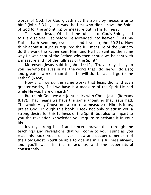words of God: for God giveth not the Spirit by measure unto him" (John 3:34). Jesus was the first who didn't have the Spirit of God (or the anointing) by measure but in His fullness.

This same Jesus, Who had the fullness of God's Spirit, said to His disciples just before He ascended into heaven, "...as my Father hath sent me, even so send I you" (John 20:21). Now think about it: If Jesus required the full measure of the Spirit to do the work the Father sent Him, and He has sent us the same way He was sent of the Father, why then should we be sent with a measure and not the fullness of the Spirit?

Moreover, Jesus said in John 14:12, "Truly, truly, I say to you, he who believes in Me, the works that I do, he will do also; and greater {works} than these he will do; because I go to the Father" (NASB).

How shall we do the same works that Jesus did, and even greater works, if all we have is a measure of the Spirit He had while He was here on earth?

But thank God, we are joint-heirs with Christ Jesus (Romans 8:17). That means we have the same anointing that Jesus had. The whole Holy Ghost, not a part or a measure of Him, is in us, praise God! Through this book, I seek not only to stir in you a strong desire for this fullness of the Spirit, but also to impart to you the revelation knowledge you require to activate it in your life.

It's my strong belief and sincere prayer that through the teachings and revelations that will come to your spirit as you read this book, you'll discover a new and deeper dimension of the Holy Ghost. You'll be able to operate in His fullness always, and you'll walk in the miraculous and the supernatural consistently.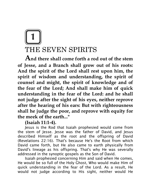# THE SEVEN SPIRITS

<span id="page-6-0"></span>**And there shall come forth <sup>a</sup> rod out of the stem of Jesse, and a Branch shall grow out of his roots: And the spirit of the Lord shall rest upon him, the spirit of wisdom and understanding, the spirit of counsel and might, the spirit of knowledge and of the fear of the Lord; And shall make him of quick understanding in the fear of the Lord: and he shall not judge after the sight of his eyes, neither reprove after the hearing of his ears: But with righteousness shall he judge the poor, and reprove with equity for the meek of the earth..."**

#### **(Isaiah 11:1-4).**

Jesus is the Rod that Isaiah prophesied would come from the stem of Jesse. Jesse was the father of David, and Jesus described Himself as the root and the offspring of David (Revelations 22:16). That's because He's the Root from which David came forth, but He also came to earth physically from David's lineage as his offspring. That's why He was severally addressed in the synoptic gospels as the Son of David.

Isaiah prophesied concerning Him and said when He comes, He would be so full of the Holy Ghost, Who would make Him of quick understanding in the fear of the Lord. As a result, He would not judge according to His sight, neither would He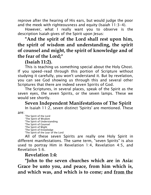reprove after the hearing of His ears, but would judge the poor and the meek with righteousness and equity (Isaiah 11:3-4).

However, what I really want you to observe is the description Isaiah gives of the Spirit upon Jesus:

**"And the spirit of the Lord shall rest upon him, the spirit of wisdom and understanding, the spirit of counsel and might, the spirit of knowledge and of the fear of the Lord;"**

#### **(Isaiah 11:2).**

This is teaching us something special about the Holy Ghost. If you speed-read through this portion of Scripture without studying it carefully, you won't understand it. But by revelation, you can see God showing us through this and several other Scriptures that there are indeed seven Spirits of God.

The Scriptures, in several places, speak of the Spirit as the seven eyes, the seven Spirits, or the seven lamps. These we would see shortly.

**Seven Independent Manifestations of The Spirit**

In Isaiah 11:2, seven distinct 'Spirits' are mentioned. These are:

'The Spirit of the Lord 'The Spirit of Wisdom 'The Spirit of Understanding 'The Spirit of Gounsel 'The Spirit of Wight 'The Spirit of Knowledge 'The Spirit of the Lear of the Lord

All of these seven Spirits are really one Holy Spirit in different manifestations. The same term, "seven Spirits" is also used to portray Him in Revelation 1:4, Revelation 4:5, and Revelation 5:6.

#### **Revelation 1:4:**

**"John to the seven churches which are in Asia: Grace be unto you, and peace, from him which is, and which was, and which is to come; and from the**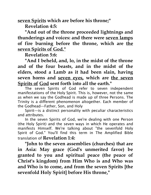**seven Spirits which are before his throne;"**

**Revelation 4:5:**

**"And out of the throne proceeded lightnings and thunderings and voices: and there were seven lamps of fire burning before the throne, which are the seven Spirits of God."**

**Revelation 5:6:**

**"And I beheld, and, lo, in the midst of the throne and of the four beasts, and in the midst of the elders, stood a Lamb as it had been slain, having seven horns and seven eyes, which are the seven Spirits of God sent forth into all the earth."**

The seven Spirits of God refer to seven independent manifestations of the Holy Spirit. This is, however, not the same as when we say the Godhead is made up of three Persons. The Trinity is a different phenomenon altogether. Each member of the Godhead—Father, Son, and Holy

Spirit—is a distinct personality with peculiar characteristics and attributes.

In the seven Spirits of God, we're dealing with one Person (the Holy Spirit) and the seven ways in which He operates and manifests Himself. We're talking about "the sevenfold Holy Spirit of God." You'll find this term in The Amplified Bible translation of **Revelation 1:4:**

**"John to the seven assemblies (churches) that are in Asia: May grace (God's unmerited favor) be granted to you and spiritual peace (the peace of Christ's kingdom) from Him Who is and Who was and Who is to come, and from the seven Spirits [the sevenfold Holy Spirit] before His throne, "**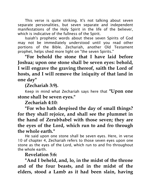This verse is quite striking. It's not talking about seven separate personalities, but seven separate and independent manifestations of the Holy Spirit in the life of the believer, which is indicative of the fullness of the Spirit.

Isaiah's prophetic words about these seven Spirits of God may not be immediately understood until you read other portions of the Bible. Zechariah, another Old Testament prophet, helps shed more light on "the seven Spirits."

**"For behold the stone that I have laid before Joshua; upon one stone shall be seven eyes: behold, I will engrave the graving thereof, saith the Lord of hosts, and I will remove the iniquity of that land in one day"**

**(Zechariah 3:9).**

Keep in mind what Zechariah says here that **"Upon one stone shall be seven eyes."**

#### **Zechariah 4:10:**

**"For who hath despised the day of small things? for they shall rejoice, and shall see the plummet in the hand of Zerubbabel with those seven; they are the eyes of the Lord, which run to and fro through the whole earth."**

He said upon one stone shall be seven eyes. Here, in verse 10 of chapter 4, Zechariah refers to those seven eyes upon one stone as the eyes of the Lord, which run to and fro throughout the whole earth.

#### **Revelation 5:6:**

**"And I beheld, and, lo, in the midst of the throne and of the four beasts, and in the midst of the elders, stood a Lamb as it had been slain, having**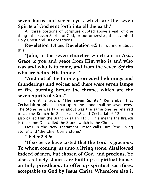**seven horns and seven eyes, which are the seven Spirits of God sent forth into all the earth."**

All three portions of Scripture quoted above speak of one thing—the seven Spirits of God, or put otherwise, the sevenfold Holy Ghost and His operations.

**Revelation 1:4** and **Revelation 4:5** tell us more about this:

**"John, to the seven churches which are in Asia: Grace to you and peace from Him who is and who was and who is to come, and from the seven Spirits who are before His throne..."**

**"And out of the throne proceeded lightnings and thunderings and voices: and there were seven lamps of fire burning before the throne, which are the seven Spirits of God."**

There it is again: "The seven Spirits." Remember that Zechariah prophesied that upon one stone shall be seven eyes. The Stone he was talking about was the same one he referred to as the Branch in Zechariah 3:8 and Zechariah 6:12. Isaiah also called Him the Branch (Isaiah 11:1). This means the Branch is the same One called the Stone, which is the Christ.

Over in the New Testament, Peter calls Him "the Living Stone" and "the Chief Cornerstone."

#### **1 Peter 2:3-6:**

**"If so be ye have tasted that the Lord is gracious. To whom coming, as unto a living stone, disallowed indeed of men, but chosen of God, and precious, Ye also, as lively stones, are built up a spiritual house, an holy priesthood, to offer up spiritual sacrifices, acceptable to God by Jesus Christ. Wherefore also it**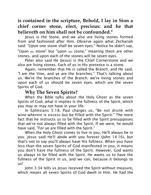#### **is contained in the scripture, Behold, I lay in Sion a chief corner stone, elect, precious: and he that believeth on him shall not be confounded."**

Jesus is the Stone, and we also are living stones formed from and fashioned after Him. Observe again what Zechariah said: "Upon one stone shall be seven eyes." Notice he didn't say, "Upon the stone" but "upon one stone," meaning there are other stones, and upon each of the stones will be seven eyes.

Peter also said He (Jesus) is the Chief Cornerstone and we also are living stones. Each of us in His presence is a stone.

Again, remember that He is called the Branch, and He said, "I am the Vine, and ye are the branches." That's talking about us. We're the branches of the Branch; we're living stones and upon each of us should be seven eyes, which are the seven Spirits of God.

#### **Why The Seven Spirits?**

When the Bible talks about the Holy Ghost as the seven Spirits of God, what it implies is the fullness of the Spirit, which you may or may not have in your life.

In Ephesians 5:18, Paul charges us, "Be not drunk with wine wherein is excess but be filled with the Spirit." The mere fact that he instructs us to be filled with the Spirit presupposes that we're not always filled with the Spirit. If we were, he would have said, "For ye are filled with the Spirit."

When the Holy Ghost comes to live in you, He'll always be in you. Jesus said He'll abide with you forever (John 14:16), but that's not to say you'll always have His fullness. When you have less than the seven Spirits of God manifested in you, it means you don't have the fullness of the Spirit. However, God wants us always to be filled with the Spirit. He wants us to have the fullness of the Spirit in us, and we can, because it belongs to us!

John 3:34 tells us Jesus received the Spirit without measure, which means all seven Spirits of God dwelt in Him. He had the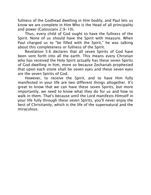fullness of the Godhead dwelling in Him bodily, and Paul lets us know we are complete in Him Who is the Head of all principality and power (Colossians 2:9-10).

Thus, every child of God ought to have the fullness of the Spirit. None of us should have the Spirit with measure. When Paul charged us to "be filled with the Spirit," he was talking about this completeness or fullness of the Spirit.

Revelation 5:6 declares that all seven Spirits of God have been sent forth into all the earth. This means every Christian who has received the Holy Spirit actually has these seven Spirits of God dwelling in him, more so because Zechariah prophesied that upon each stone shall be seven eyes and these seven eyes are the seven Spirits of God.

However, to receive the Spirit, and to have Him fully manifested in your life are two different things altogether. It's great to know that we can have these seven Spirits, but more importantly, we need to know what they do for us and how to walk in them. That's because until the Lord manifests Himself in your life fully through these seven Spirits, you'll never enjoy the best of Christianity, which is the life of the supernatural and the miraculous.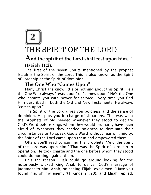## <span id="page-13-0"></span>THE SPIRIT OF THE LORD

### **And the spirit of the Lord shall rest upon him..." (Isaiah 11:2).**

The first of the seven Spirits mentioned by the prophet Isaiah is the Spirit of the Lord. This is also known as the Spirit of Lordship or the Spirit of dominion.

#### **The One Who "Comes Upon"**

Many Christians know little or nothing about this Spirit. He's the One Who always "rests upon" or "comes upon." He's the One Who anoints you with power for service. Every time you find Him described in both the Old and New Testaments, He always "comes upon."

The Spirit of the Lord gives you boldness and the sense of dominion. He puts you in charge of situations. This was what the prophets of old needed whenever they stood to declare God's Word before kings whom they would ordinarily have been afraid of. Whenever they needed boldness to dominate their circumstances or to speak God's Word without fear or timidity, the Spirit of the Lord came upon them and empowered them.

Often, you'll read concerning the prophets, "And the Spirit of the Lord was upon him." That was the Spirit of Lordship in operation. He took charge and the one before whom they stood could do nothing against them.

He's the reason Elijah could go around looking for the notoriously wicked King Ahab to deliver God's message of judgment to him. Ahab, on seeing Elijah, exclaimed, "Have you found me, oh my enemy!"(1 Kings 21:20), and Elijah replied,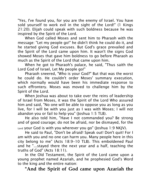"Yes, I've found you, for you are the enemy of Israel. You have sold yourself to work evil in the sight of the Lord!" (1 Kings 21:20). Elijah could speak with such boldness because he was inspired by the Spirit of the Lord.

When God called Moses and sent him to Pharaoh with the message: "Let my people go!" he didn't think he could do it, and he started giving God excuses. But God's grace prevailed and the Spirit of the Lord came upon him. It wasn't the signs God showed Moses that gave him boldness to go before Pharaoh as much as the Spirit of the Lord that came upon him.

When he got to Pharaoh's palace, he said, "Thus saith the Lord God of Israel, Let My people go!"

Pharaoh sneered, "Who is your God?" But that was the worst he could do. He couldn't order Moses' summary execution, which normally would have been his immediate response to such effrontery. Moses was moved to challenge him by the Spirit of the Lord.

When Joshua was about to take over the reins of leadership of Israel from Moses, it was the Spirit of the Lord Who assured him and said, "No one will be able to oppose you as long as you live, for I will be with you just as I was with Moses; I will not abandon you or fail to help you" (Joshua 1:5 TLB).

He also told him, "Have I not commanded you? Be strong and of good courage; do not be afraid, nor be dismayed, for the Lord your God is with you wherever you go" (Joshua 1:9 NKJV).

He said to Paul, "Don't be afraid! Speak out! Don't quit! For I am with you and no one can harm you. Many people here in this city belong to me" (Acts 18:9-10 TLB). This emboldened Paul and he "...stayed there the next year and a half, teaching the truths of God" (Acts 18:11).

In the Old Testament, the Spirit of the Lord came upon a young prophet named Azariah, and he prophesied God's Word to the king and the entire nation:

**"And the Spirit of God came upon Azariah the**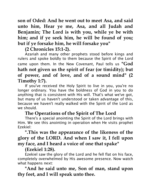**son of Oded: And he went out to meet Asa, and said unto him, Hear ye me, Asa, and all Judah and Benjamin; The Lord is with you, while ye be with him; and if ye seek him, he will be found of you; but if ye forsake him, he will forsake you"**

**(2 Chronicles 15:1-2).**

Azariah and many other prophets stood before kings and rulers and spoke boldly to them because the Spirit of the Lord came upon them. In the New Covenant, Paul tells us **"God hath not given us the spirit of fear (or timidity); but of power, and of love, and of a sound mind" (2 Timothy 1:7).**

If you've received the Holy Spirit to live in you, you're no longer ordinary. You have the boldness of God in you to do anything that is consistent with His will. That's what we've got, but many of us haven't understood or taken advantage of this, because we haven't really walked with the Spirit of the Lord as we should.

#### **The Operations of the Spirit of The Lord**

There's a special anointing the Spirit of the Lord brings with Him. We see this anointing in operation when He visits prophet Ezekiel:

**".This was the appearance of the likeness of the glory of the LORD. And when I saw it, I fell upon my face, and I heard a voice of one that spake"**

**(Ezekiel 1:28).**

Ezekiel saw the glory of the Lord and he fell flat on his face, completely overwhelmed by His awesome presence. Now watch what happens next:

**"And he said unto me, Son of man, stand upon thy feet, and I will speak unto thee.**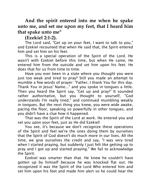#### **And the spirit entered into me when he spake unto me, and set me upon my feet, that I heard him that spake unto me"**

#### **(Ezekiel 2:1-2).**

The Lord said, "Get up on your feet, I want to talk to you," and Ezekiel recounted that when He said that, the Spirit entered him and set him on his feet.

This is a special operation of the Spirit of the Lord. He wasn't with Ezekiel before this time, but when He came, He entered him from the outside and set him upon his feet. He does that for us from time to time.

Have you ever been in a state where you thought you were just too weak and tired to pray? Still you made an attempt to mumble a few words of prayer: "Father, I thank You for this day. Thank You in Jesus' Name..." and you spoke in tongues a little. Then you heard the Spirit say, "Get up and pray!" It sounded rather authoritative, but you thought to yourself, "God understands I'm really tired," and continued mumbling weakly in tongues. But the next thing you knew, you were wide awake, pacing the floor, speaking so powerfully in other tongues, and you didn't have a clue how it happened.

That was the Spirit of the Lord at work. He entered you and set you upon your feet, just as He did Ezekiel!

You see, it's because we don't recognize these operations of the Spirit and feel we're the ones doing them by ourselves that the Spirit of God doesn't do much more in our lives. All the time, we give ourselves the credit and say, "I was very tired when I started praying, but suddenly I just felt like getting up to pray and I got up and started praying." We fail to acknowledge the Spirit.

Ezekiel was smarter than that. He knew he couldn't have gotten up by himself because he was knocked flat out. He recognized it was the Spirit of the Lord Who entered him and set him upon his feet and made him alert so he could hear the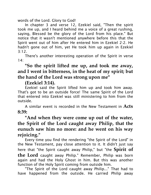words of the Lord. Glory to God!

In chapter 3 and verse 12, Ezekiel said, "Then the spirit took me up, and I heard behind me a voice of a great rushing, saying, Blessed be the glory of the Lord from his place." But notice that it wasn't mentioned anywhere before this that the Spirit went out of him after He entered him in Ezekiel 2:2. He hadn't gone out of him, yet He took him up again in Ezekiel 3:12.

There's another interesting operation of the Spirit in verse  $14<sup>·</sup>$ 

**"So the spirit lifted me up, and took me away, and I went in bitterness, in the heat of my spirit; but the hand of the Lord was strong upon me"**

#### **(Ezekiel 3:14).**

Ezekiel said the Spirit lifted him up and took him away. That's got to be an outside force! The same Spirit of the Lord that entered into Ezekiel was still ministering to him from the outside.

A similar event is recorded in the New Testament in **Acts 8:39:**

#### **"And when they were come up out of the water, the Spirit of the Lord caught away Philip, that the eunuch saw him no more: and he went on his way rejoicing."**

Every time you find the rendering "the Spirit of the Lord" in the New Testament, pay close attention to it. It didn't just say here that "the Spirit caught away Philip," but "the **Spirit of the Lord** caught away Philip." Remember, Philip was born again and had the Holy Ghost in him. But this was another function of the Holy Spirit coming from outside him.

"The Spirit of the Lord caught away Philip..." That had to have happened from the outside. He carried Philip away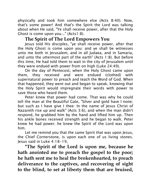physically and took him somewhere else (Acts 8:40). Now, that's some power! And that's the Spirit the Lord was talking about when He said, "Ye shall receive power, after that the Holy Ghost is come upon you..." (Acts1:8).

#### **The Spirit of The Lord Empowers You**

Jesus told His disciples, "ye shall receive power, after that the Holy Ghost is come upon you: and ye shall be witnesses unto me both in Jerusalem, and in all Judaea, and in Samaria, and unto the uttermost part of the earth" (Acts 1:8). But before this time, He had told them to wait in the city of Jerusalem until they were endued with power from on high (Luke 24:49).

On the day of Pentecost, when the Holy Ghost came upon them, they received and were endued (clothed) with supernatural power to preach and teach the Word of God. When that happened, they went out and began to speak, knowing that the Holy Spirit would impregnate their words with power to save those who heard them.

Peter knew that power had come. That was why he could tell the man at the Beautiful Gate, "Silver and gold have I none; but such as I have give I thee: In the name of Jesus Christ of Nazareth rise up and walk" (Acts 3:6), and when the man didn't respond, he grabbed him by the hand and lifted him up. Then his ankle bones received strength and he began to walk. Peter knew he had power; he knew the Spirit of the Lord was upon him.

Let me remind you that the same Spirit that was upon Jesus, the Chief Cornerstone, is upon each one of us living stones. Jesus said in Luke 4:18-19,

**"The Spirit of the Lord is upon me, because he hath anointed me to preach the gospel to the poor; he hath sent me to heal the brokenhearted, to preach deliverance to the captives, and recovering of sight to the blind, to set at liberty them that are bruised,**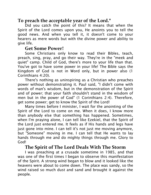#### **To preach the acceptable year of the Lord."**

Did you catch the point of this? It means that when the Spirit of the Lord comes upon you, He anoints you to tell the good news. And when you tell it, it doesn't come to your hearers as mere words but with the divine power and ability to give life.

#### **Get Some Power!**

Some Christians only know to read their Bibles, teach, preach, sing, pray, and go their way. They're in the "meek and quiet" camp. Child of God, there's more to your life than that. You've got to have some power in your life! The Bible says the Kingdom of God is not in Word only, but in power also (1 Corinthians 4:20).

There's nothing as uninspiring as a Christian who preaches power without demonstrating it. Paul said, "I didn't come with words of man's wisdom, but in the demonstration of the Spirit and of power; that your faith shouldn't stand in the wisdom of men but in the power of God" (1 Corinthians 2:4). Therefore, get some power; get to know the Spirit of the Lord!

Many times before I minister, I wait for the anointing of the Spirit of the Lord to come on me. When it does, I know more than anybody else that something has happened. Sometimes, when I'm praying alone, I can tell like Ezekiel, that the Spirit of the Lord just entered me. It feels as if His hands and legs have just gone into mine. I can tell it's not just me moving anymore, but "Someone" moving in me. I can tell that He wants to lay hands through me and do mighty things through me. Glory to God!

#### **The Spirit of The Lord Deals With The Storm**

I was preaching at a crusade sometime in 1985, and that was one of the first times I began to observe this manifestation of the Spirit. A strong wind began to blow and it looked like the heavens were about to come down. The place was sandy, so the wind raised so much dust and sand and brought it against the people.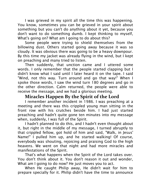I was grieved in my spirit all the time this was happening. You know, sometimes you can be grieved in your spirit about something but you can't do anything about it yet, because you don't want to do something dumb. I kept thinking to myself, What's going on? What am I going to do about this?

Some people were trying to shield themselves from the billowing dust. Others started going away because it was so cloudy. It was obvious there was going to be a heavy downpour. By this time my jacket was already flying in the wind, but I kept on preaching and many tried to listen.

Then suddenly, that unction came and I uttered some words. I only remember that the people started clapping but I didn't know what I said until I later heard it on the tape. I said "Wind, not this way. Turn around and go that way!" When I spoke those words, I saw the wind turn 180 degrees and go in the other direction. Calm returned, the people were able to receive the message, and we had a glorious meeting.

#### **Miracles Happen By the Spirit of the Lord**

I remember another incident in 1986. I was preaching at a meeting and there was this crippled young man sitting in the front row with his crutches beside him. I had just started preaching and hadn't quite gone ten minutes into my message when, suddenly, I was full of the Spirit.

I hadn't planned to do this, and I hadn't even thought about it, but right in the middle of my message, I turned abruptly to that crippled fellow, got hold of him and said, "Walk, in Jesus' Name!" I pulled him up, and he started walking! Of course, everybody was shouting, rejoicing and praising God to the high heavens. We went on that night and had more miracles and manifestations of the Spirit.

That's what happens when the Spirit of the Lord takes over. You don't think about it. You don't reason it out and wonder, What am I going to do now? He just moves you to act.

When He caught Philip away, He didn't wait for him to prepare specially for it. Philip didn't have the time to announce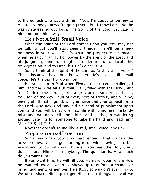to the eunuch who was with him, "Now I'm about to journey to Azotus. Nobody knows I'm going there, but I know I am!" No, he wasn't squeezing out faith. The Spirit of the Lord just caught him and took him away.

#### **He's Not A Still, Small Voice**

When the Spirit of the Lord comes upon you, you may not be talking but you'll start seeing things. There'll be a new boldness in your soul. That's what the prophet Micah meant when he said, "I am full of power by the spirit of the Lord, and of judgment, and of might, to declare unto Jacob his transgression, and to Israel his sin" (Micah 3:8).

Some think of the Spirit of the Lord as "a still, small voice." That's because they don't know Him. He's not a still, small voice; He's the Spirit of dominion.

He welled up in Paul when Elymas the sorcerer challenged him, and the Bible tells us that "Paul, filled with the Holy Spirit (the Spirit of the Lord), glared angrily at the sorcerer and said, You son of the devil, full of every sort of trickery and villainy, enemy of all that is good, will you never end your opposition to the Lord? And now God has laid his hand of punishment upon you, and you will be stricken awhile with blindness. Instantly mist and darkness fell upon him, and he began wandering around begging for someone to take his hand and lead him" (Acts 13:8-11 TLB).

Now that doesn't sound like a still, small voice, does it?

#### **Prepare Yourself For Him**

Some say when you pray hard enough that's when the power comes. No, it's got nothing to do with praying hard but everything to do with your hunger. You see, the Holy Spirit doesn't force Himself on anybody. The question is: How much do you want Him?

If you want Him, He will fill you. He never goes where He's not wanted, except when He shows up to enforce a change or bring judgment. Remember, He's Boss, so we don't stir Him up. We don't shake Him up to get Him to do things. Instead we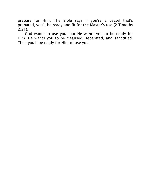prepare for Him. The Bible says if you're a vessel that's prepared, you'll be ready and fit for the Master's use (2 Timothy 2:21).

God wants to use you, but He wants you to be ready for Him. He wants you to be cleansed, separated, and sanctified. Then you'll be ready for Him to use you.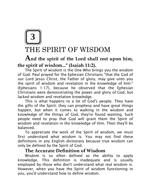# THE SPIRIT OF WISDOM

<span id="page-23-0"></span>**And the spirit of the Lord shall rest upon him, the spirit of wisdom..." (Isaiah 11:2).**

The Spirit of wisdom is the One Who brings you the wisdom of God. Paul prayed for the Ephesian Christians "that the God of our Lord Jesus Christ, the Father of glory, may give unto you the spirit of wisdom and revelation in the knowledge of him:" (Ephesians 1:17), because he observed that the Ephesian Christians were demonstrating the power and glory of God, but lacked wisdom and revelation knowledge.

This is what happens to a lot of God's people. They have the gifts of the Spirit; they can prophesy and have great things happen, but when it comes to walking in the wisdom and knowledge of the things of God, they're found wanting. Such people need to pray that God will grant them the Spirit of wisdom and revelation in the knowledge of Him. Then they'll be balanced.

To appreciate the work of the Spirit of wisdom, we must first understand what wisdom is. You may not find these definitions in any English dictionary because true wisdom can only be defined by the Spirit of God.

#### **The Accurate Definition of Wisdom**

Wisdom is so often defined as the ability to apply knowledge. This definition is inadequate and is usually employed by those who don't understand what real wisdom is. However, when you have the Spirit of wisdom functioning in you, you'd understand how to define wisdom.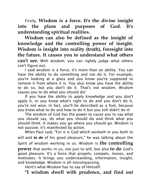Firstly, **Wisdom is a force. It's the divine insight into the plans and purposes of God. It's understanding spiritual realities.**

**Wisdom can also be defined as the insight of knowledge and the controlling power of insight. Wisdom is insight into reality (truth), foresight into the future. It causes you to understand what others can't see.** With wisdom, you can rightly judge what others can't figure out.

I said wisdom is a force; it's more than an ability. You can have the ability to do something and not do it. For example, you're looking at a glass and you know you're supposed to remove it from where it is. You also know you have the ability to do so, but you don't do it. That's not wisdom. Wisdom causes you to do what you should do!

If you have the ability to apply knowledge and you don't apply it, or you know what's right to do and you don't do it, you're not wise. In fact, you'll be described as a fool, because you knew what to do and how to do it but you still didn't do it!

The wisdom of God has the power to cause you to say what you should say, do what you should do and think what you should think. It makes you go where you should go. Wisdom is not passive; it's manifested by action.

When Paul said, "For it is God which worketh in you both to will and *to do* of his good pleasure," he was talking about the Spirit of wisdom working in us. Wisdom is **the controlling power** that works in us, not just to will, but also **to do** God's good pleasure. It's a force that propels, compels, moves, and motivates. It brings you understanding, information, insight, and knowledge. Wisdom is all-encompassing.

Here's what Wisdom has to say of Himself:

**"I wisdom dwell with prudence, and find out**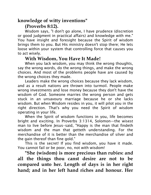#### **knowledge of witty inventions" (Proverbs 8:12).**

Wisdom says, "I don't go alone, I have prudence (discretion or good judgment in practical affairs) and knowledge with me." You have insight and foresight because the Spirit of wisdom brings them to you. But His ministry doesn't stop there; He lets loose within your system that controlling force that causes you to act wisely.

#### **With Wisdom, You Have It Made!**

When you lack wisdom, you may think the wrong thoughts, say the wrong words, do the wrong things, and make the wrong choices. And most of the problems people have are caused by the wrong choices they made.

Leaders make the wrong choices because they lack wisdom, and as a result nations are thrown into turmoil. People make wrong investments and lose money because they don't have the wisdom of God. Someone marries the wrong person and gets stuck in an unsavoury marriage because he or she lacks wisdom. But when Wisdom resides in you, it will pilot you in the right direction. That's why you need the Spirit of wisdom operating in your life.

When the Spirit of wisdom functions in you, life becomes bright and exciting. In Proverbs 3:1314, Solomon—the wisest man to live before Jesus-said, "Happy is the man that findeth wisdom and the man that getteth understanding. For the merchandise of it is better than the merchandise of silver and the gain thereof than fine gold."

This is the secret! If you find wisdom, you have it made. You cannot fail or be poor, no, not with wisdom!

**"She (wisdom) is more precious than rubies: and all the things thou canst desire are not to be compared unto her. Length of days is in her right hand; and in her left hand riches and honour. Her**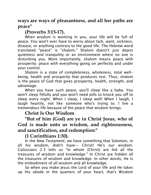#### **ways are ways of pleasantness, and all her paths are peace"**

#### **(Proverbs 3:15-17).**

When wisdom is working in you, your life will be full of peace. You won't ever have to worry about lack, want, sickness, disease, or anything contrary to the good life. The Hebrew word translated "peace" is "shalom." Shalom doesn't just depict quietness and tranquility or an environment where no one is disturbing you. More importantly, shalom means peace with prosperity; peace with everything going on perfectly and under your control.

Shalom is a state of completeness, wholeness, total wellbeing, health and prosperity that produces rest. Thus, shalom is the peace of God that gives prosperity, health, strength, and advantage.

When you have such peace, you'll sleep like a baby. You won't sleep fitfully and you won't need pills to knock you off to sleep every night. When I sleep, I sleep well! When I laugh, I laugh heartily, not like someone who's trying to. I live a tremendous life because of the peace that wisdom brings.

#### **Christ Is Our Wisdom**

**"But of him (God) are ye in Christ Jesus, who of God is made unto us wisdom, and righteousness, and sanctification, and redemption:"**

#### **(1 Corinthians 1:30).**

In the New Testament, we have something that Solomon, in all his wisdom, didn't have— Christ! He's our wisdom. Colossians 2:3 tells us "In whom (Christ) are hid all the treasures of wisdom and knowledge." In Christ are hidden all the treasures of wisdom and knowledge. In other words, He is the embodiment of all wisdom and all knowledge.

So when you make Jesus the Lord of your life and He takes up His abode in the quarters of your heart, that's Wisdom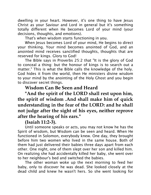dwelling in your heart. However, it's one thing to have Jesus Christ as your Saviour and Lord in general but it's something totally different when He becomes Lord of your mind (your decisions, thoughts, and emotions).

That's when wisdom starts functioning in you.

When Jesus becomes Lord of your mind, He begins to direct your thinking. Your mind becomes anointed of God, and an anointed mind receives sanctified thoughts, thoughts that are reserved for kings. Glory to God!

The Bible says in Proverbs 25:2 that "It is the glory of God to conceal a thing: but the honour of kings is to search out a matter." This is what the Bible calls the knowledge of the holy. God hides it from the world, then He ministers divine wisdom to your mind by the anointing of the Holy Ghost and you begin to discover secret things.

#### **Wisdom Can Be Seen and Heard**

**"And the spirit of the LORD shall rest upon him, the spirit of wisdom .And shall make him of quick understanding in the fear of the LORD: and he shall not judge after the sight of his eyes, neither reprove after the hearing of his ears."**

#### **(Isaiah 11:2-3).**

Until someone speaks or acts, you may not know he has the Spirit of wisdom, but Wisdom can be seen and heard. When He functioned in Solomon, everybody knew. One day, they brought before him two women who lived in the same house. Both of them had just delivered their babies three days apart from each other. One night, one of them slept over her son and killed him. On realizing she had accidentally killed her baby, she went over to her neighbour's bed and switched the babies.

The other woman woke up the next morning to feed her baby, only to discover he was dead. She looked closely at the dead child and knew he wasn't hers. So she went looking for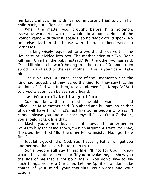her baby and saw him with her roommate and tried to claim her child back, but a fight ensued.

When the matter was brought before King Solomon, everyone wondered what he would do about it. None of the women came with their husbands, so no daddy could speak. No one else lived in the house with them, so there were no witnesses.

The king wisely requested for a sword and ordered that the live baby be divided into two. The mother cried out "No! Don't kill him. Give her the baby instead." But the other woman said, "Yes, kill him so he won't belong to either of us." Solomon then stood up and said to the real mother, "This is your baby. Take him."

The Bible says, "all Israel heard of the judgment which the king had judged; and they feared the king: for they saw that the wisdom of God was in him, to do judgment" (1 Kings 3:28). I told you wisdom can be seen and heard.

#### **Let Wisdom Take Charge of You**

Solomon knew the real mother wouldn't want her child killed. The false mother said, "Go ahead and kill him, so neither of us will have him." That's just like some people who say, "I cannot please you and displease myself." If you're a Christian, you shouldn't talk like that.

Maybe you want to buy a pair of shoes and another person wants to buy the same shoes, then an argument starts. You say, "I picked them first!" But the other fellow insists, "No, I got here first."

Just let it go, child of God. Your heavenly Father will get you another one that's even better than that!

Some people still say things like, "If not for God, I know what I'd have done to you," or "If you provoke me, I'll show you the side of me that is not born again." You don't have to say such things, you're a Christian. Let the Spirit of wisdom take charge of your mind, your thoughts, your words and your actions.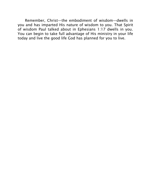Remember, Christ—the embodiment of wisdom—dwells in you and has imparted His nature of wisdom to you. That Spirit of wisdom Paul talked about in Ephesians 1:17 dwells in you. You can begin to take full advantage of His ministry in your life today and live the good life God has planned for you to live.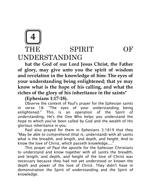

## <span id="page-30-0"></span>THE SPIRIT OF

## UNDERSTANDING

**hat the God of our Lord Jesus Christ, the Father of glory, may give unto you the spirit of wisdom and revelation in the knowledge of him: The eyes of your understanding being enlightened; that ye may know what is the hope of his calling, and what the riches of the glory of his inheritance in the saints"**

**(Ephesians 1:17-18).**

Observe the content of Paul's prayer for the Ephesian saints in verse 18: "The eyes of your understanding being enlightened." This is an operation of the Spirit of understanding. He's the One Who helps you understand the hope to which you've been called by God and the wealth of His glorious inheritance in you.

Paul also prayed for them in Ephesians 3:1819 that they "May be able to comprehend (that is, understand) with all saints what is the breadth, and length, and depth, and height; And to know the love of Christ, which passeth knowledge...."

This prayer of Paul the apostle for the Ephesian Christians to understand and know together with all saints the breadth, and length, and depth, and height of the love of Christ was necessary because they had not yet understood or known the depth and power of the love of Christ. They didn't have in demonstration the Spirit of understanding and the Spirit of knowledge.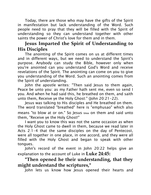Today, there are those who may have the gifts of the Spirit in manifestation but lack understanding of the Word. Such people need to pray that they will be filled with the Spirit of understanding so they can understand together with other saints the power of Christ's love for them and in them.

#### **Jesus Imparted the Spirit of Understanding to His Disciples**

The anointing of the Spirit comes on us at different times and in different ways, but we need to understand the Spirit's purpose. Anybody can study the Bible, however only when you're anointed can you understand God's Word and receive revelations of the Spirit. The anointing can come on you to give you understanding of the Word. Such an anointing comes from the Spirit of understanding.

John the apostle writes: "Then said Jesus to them again, Peace be unto you: as my Father hath sent me, even so send I you. And when he had said this, he breathed on them, and saith unto them, Receive ye the Holy Ghost:" (John 20:21-22).

Jesus was talking to His disciples and He breathed on them. The word translated "breathed" here is "emphusao" which also means "to blow at or on." So Jesus blew on them and said unto them, "Receive ye the Holy Ghost!"

I want you to know this was not the same occasion as when the Holy Ghost came to dwell in them, because we read later in Acts 2:1-4 that the same disciples on the day of Pentecost, were all together in one place, in one accord, and they were all filled with the Holy Ghost and began to speak with other tongues.

John's record of the event in John 20:22 helps give an explanation to the account of Luke in **Luke 24:45:**

**"Then opened he their understanding, that they might understand the scriptures, "**

John lets us know how Jesus opened their hearts and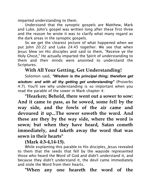imparted understanding to them.

Understand that the synoptic gospels are Matthew, Mark and Luke. John's gospel was written long after these first three and the reason he wrote it was to clarify what many regard as the dark areas in the synoptic gospels.

So we get the clearest picture of what happened when we put John 20:22 and Luke 24:45 together. We see that when Jesus blew on His disciples and said to them, "Receive ye the Holy Ghost," He actually imparted the Spirit of understanding to them and their minds were anointed to understand the Scriptures.

#### **With All Your Getting, Get Understanding!**

Solomon said, *"Wisdom is the principal thing; therefore get wisdom: and with all thy getting get understanding"* (Proverbs 4:7). You'll see why understanding is so important when you read the parable of the sower in Mark chapter 4:

**"Hearken; Behold, there went out a sower to sow: And it came to pass, as he sowed, some fell by the way side, and the fowls of the air came and devoured it up...The sower soweth the word. And these are they by the way side, where the word is sown; but when they have heard, Satan cometh immediately, and taketh away the word that was sown in their hearts"**

#### **(Mark 4:3-4,14-15).**

While explaining this parable to His disciples, Jesus revealed to them that the seeds that fell by the wayside represented those who heard the Word of God and didn't understand it, and because they didn't understand it, the devil came immediately and stole the Word from their hearts.

**"When any one heareth the word of the**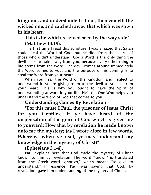**kingdom, and understandeth it not, then cometh the wicked one, and catcheth away that which was sown in his heart.**

#### **This is he which received seed by the way side" (Matthew 13:19).**

The first time I read this scripture, I was amazed that Satan could steal the Word of God, but he did—from the hearts of those who didn't understand. God's Word is the only thing the devil seeks to take away from you, because every other thing in life stems from the Word. The devil comes around immediately the Word comes to you, and the purpose of his coming is to steal the Word from your heart.

When you hear the Word of the Kingdom and neglect to understand it, you're giving room to the devil to steal it from your heart. This is why you ought to have the Spirit of understanding at work in your life. He's the One Who helps you understand the Word of God that comes to you.

#### **Understanding Comes By Revelation**

**"For this cause I Paul, the prisoner of Jesus Christ for you Gentiles, If ye have heard of the dispensation of the grace of God which is given me to youward: How that by revelation he made known unto me the mystery; (as I wrote afore in few words, Whereby, when ye read, ye may understand my knowledge in the mystery of Christ)"**

#### **(Ephesians 3:1-4).**

Paul explains here that God made the mystery of Christ known to him by revelation. The word "known" is translated from the Greek word "gnorizo," which means "to give to understand." In essence, Paul was saying that God, by revelation, gave him understanding of the mystery of Christ.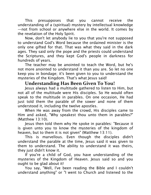This presupposes that you cannot receive the understanding of a (spiritual) mystery by intellectual knowledge —not from school or anywhere else in the world. It comes by the revelation of the Holy Spirit.

Now, don't let anybody lie to you that you're not supposed to understand God's Word because the ordained minister is the only one gifted for that. That was what they said in the dark ages. They said only the pope and the priests could understand the Scriptures, and they kept God's people in darkness for hundreds of years.

The teacher may be anointed to teach the Word, but he's not more anointed to understand it than you are. So let no one keep you in bondage; it's been given to you to understand the mysteries of the Kingdom. That's what Jesus said!

#### **Understanding Has Been Given To You!**

Jesus always had a multitude gathered to listen to Him, but not all of the multitude were His disciples. So He would often speak to the multitude in parables. On one occasion, He had just told them the parable of the sower and none of them understood it, including the twelve apostles.

When He was away from the crowd, His disciples came to Him and asked, "Why speakest thou unto them in parables?" (Matthew 13:10).

Jesus then told them why He spoke in parables: "Because it is given unto you to know the mysteries of the kingdom of heaven, but to them it is not given" (Matthew 13:11).

This is marvellous. Even though the disciples didn't understand the parable at the time, Jesus said it was given to them to understand. The ability to understand it was theirs, they just didn't know it.

If you're a child of God, you have understanding of the mysteries of the Kingdom of Heaven. Jesus said so and you ought to be glad about it!

You say, "Well, I've been reading the Bible and I couldn't understand anything" or "I went to Church and listened to the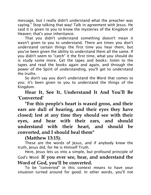message, but I really didn't understand what the preacher was saying." Stop talking that way! Talk in agreement with Jesus. He said it is given to you to know the mysteries of the Kingdom of Heaven; that's your inheritance.

That you didn't understand something doesn't mean it wasn't given to you to understand. There are times you don't understand certain things the first time you hear them, but you've been given the ability to understand them all the same. If you didn't seem to "catch" it the first time, what you should do is study some more. Get the tapes and books; listen to the tapes and read the books again and again, and through the power of the Spirit of understanding, you'll get to understand the truths.

So don't say you don't understand the Word that comes to you; it's been given to you to understand the things of the Kingdom.

**Hear It, See It, Understand It And You'll Be 'Converted'**

**"For this people's heart is waxed gross, and their ears are dull of hearing, and their eyes they have closed; lest at any time they should see with their eyes, and hear with their ears, and should understand with their heart, and should be converted, and I should heal them"**

**(Matthew 13:15).**

These are the words of Jesus, and if anybody knew the truth, Jesus did, for He is Himself Truth.

Here, Jesus lets us into a simple, but profound principle of God's Word: **If you ever see, hear, and understand the Word of God, you'll be converted.**

To be "converted" in this context means to have your situation turned around for good. In other words, you'll not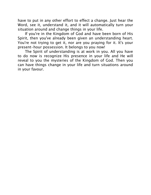have to put in any other effort to effect a change. Just hear the Word, see it, understand it, and it will automatically turn your situation around and change things in your life.

If you're in the Kingdom of God and have been born of His Spirit, then you've already been given an understanding heart. You're not trying to get it, nor are you praying for it. It's your present-hour possession. It belongs to you now!

The Spirit of understanding is at work in you. All you have to do now is recognize His presence in your life and He will reveal to you the mysteries of the Kingdom of God. Then you can have things change in your life and turn situations around in your favour.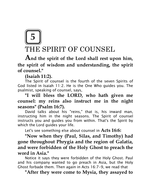### <span id="page-37-0"></span>THE SPIRIT OF COUNSEL

**And the spirit of the Lord shall rest upon him, the spirit of wisdom and understanding, the spirit of counsel."**

**(Isaiah 11:2).**

The Spirit of counsel is the fourth of the seven Spirits of God listed in Isaiah 11:2. He is the One Who guides you. The psalmist, speaking of counsel, says,

**"I will bless the LORD, who hath given me counsel: my reins also instruct me in the night seasons" (Psalm 16:7).**

David talks about his "reins," that is, his inward man, instructing him in the night seasons. The Spirit of counsel instructs you and guides you from within. That's the Spirit by which the Lord guides your life.

Let's see something else about counsel in **Acts 16:6:**

**"Now when they (Paul, Silas, and Timothy) had gone throughout Phrygia and the region of Galatia, and were forbidden of the Holy Ghost to preach the word in Asia."**

Notice it says they were forbidden of the Holy Ghost. Paul and his company wanted to go preach in Asia, but the Holy Ghost forbade them. Then again in Acts 16:7-9, we read that

**"After they were come to Mysia, they assayed to**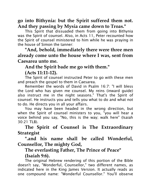#### **go into Bithynia: but the Spirit suffered them not. And they passing by Mysia came down to Troas."**

This Spirit that dissuaded them from going into Bithynia was the Spirit of counsel. Also, in Acts 11, Peter recounted how the Spirit of counsel ministered to him while he was praying in the house of Simon the tanner:

**"And, behold, immediately there were three men already come unto the house where I was, sent from Caesarea unto me.**

#### **And the Spirit bade me go with them."**

#### **(Acts 11:11-12).**

The Spirit of counsel instructed Peter to go with these men and preach the gospel to them in Caesarea.

Remember the words of David in Psalm 16:7: "I will bless the Lord who has given me counsel. My reins (inward guide) also instruct me in the night seasons." That's the Spirit of counsel. He instructs you and tells you what to do and what not to do. He directs you in all your affairs.

You may have been headed in the wrong direction, but when the Spirit of counsel ministers to you, "you will hear a voice behind you say, "No, this is the way; walk here" (Isaiah 30:21 TLB).

**The Spirit of Counsel is The Extraordinary Strategist**

**".and his name shall be called Wonderful, Counsellor, The mighty God,**

#### **The everlasting Father, The Prince of Peace" (Isaiah 9:6).**

The original Hebrew rendering of this portion of the Bible doesn't say, "Wonderful, Counsellor," two different names, as indicated here in the King James Version. It actually reads as one compound name: "Wonderful Counsellor." You'll observe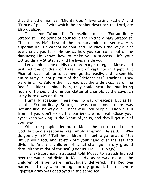that the other names, "Mighty God," "Everlasting Father," and "Prince of peace" with which the prophet describes the Lord, are also dualized.

The name "Wonderful Counsellor" means "Extraordinary Strategist." The Spirit of counsel is the Extraordinary Strategist. That means He's beyond the ordinary mind or senses. He's supernatural. He cannot be confused. He knows the way out of every crisis you face. He knows how you can come out of the darkness; He knows how to make you a success. He's your Extraordinary Strategist and He lives inside you.

Let's look at one of His extraordinary strategies: Moses had just led the children of Israel out of captivity in Egypt. But Pharaoh wasn't about to let them go that easily, and he sent his entire army in hot pursuit of the "defenceless" Israelites. They were in a fix. Before them spread out the wide expanse of the Red Sea. Right behind them, they could hear the thundering hoofs of horses and ominous clatter of chariots as the Egyptian army bore down on them.

Humanly speaking, there was no way of escape. But as far as the Extraordinary Strategist was concerned, there was nothing like "no way out." That's why I tell people: "The walls in front of you don't exist; the barriers are not real. Close your eyes; keep walking in the Name of Jesus, and they'll get out of your way!"

When the people cried out to Moses, he in turn cried out to God, but God's response was simply amazing. He said, "...Why do you cry to Me? Tell the children of Israel to go forward. "But lift up your rod, and stretch out your hand over the sea and divide it. And the children of Israel shall go on dry ground through the midst of the sea" (Exodus 14:15-16 NKJV).

The Extraordinary Strategist told Moses to stretch his rod over the water and divide it. Moses did as he was told and the children of Israel were miraculously delivered. The Red Sea parted and they went through on dry ground, but the entire Egyptian army was destroyed in the same sea.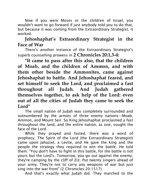Now if you were Moses or the children of Israel, you wouldn't want to go forward if just anybody told you to do that, but because it was coming from the Extraordinary Strategist, it worked.

#### **Jehoshaphat's Extraordinary Strategist in the Face of War**

There's another instance of the Extraordinary Strategist's superb counselling prowess in **2 Chronicles 20:1,3-4:**

**"It came to pass after this also, that the children of Moab, and the children of Ammon, and with them other beside the Ammonites, came against Jehoshaphat to battle. And Jehoshaphat feared, and set himself to seek the Lord, and proclaimed a fast throughout all Judah. And Judah gathered themselves together, to ask help of the Lord: even out of all the cities of Judah they came to seek the Lord"**

The small nation of Judah was completely surrounded and outnumbered by the armies of three enemy nations—Moab, Ammon, and Mount Seir. So King Jehoshaphat proclaimed a fast throughout the land, and the entire nation, as one, sought the face of the Lord.

While they prayed and fasted, there was a word of prophecy. The Spirit of the Lord (the Extraordinary Strategist) came upon Jahaziel, a Levite, and He gave the king and the people the strategy they required to win the battle. He told them: "You don't have to fight in this battle, for the battle is not yours but the Lord's. Tomorrow, you go out against the enemy; they're camping by the cliff of Ziz. Put twenty singers ahead of your army. They're not to carry any weapons of war but just sing into the war front" (2 Chronicles 20:1517).

And that's exactly what Judah did. They marched to the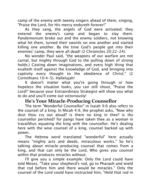camp of the enemy with twenty singers ahead of them, singing, "Praise the Lord, for His mercy endureth forever!"

As they sang, the angels of God were activated; they entered the enemy's camp and began to slay them. Pandemonium broke out and the enemy soldiers, not knowing what hit them, turned their swords on one another and started killing one another. By the time God's people got into their enemies' camp, they were all dead! (2 Chronicles 20:22-24).

No wonder Paul said, "the weapons of our warfare are not carnal, but mighty through God to the pulling down of strong holds;) Casting down imaginations, and every high thing that exalteth itself against the knowledge of God, and bringing into captivity every thought to the obedience of Christ;" (2 Corinthians 10:4-5). Hallelujah!

It doesn't matter what you're going through or how hopeless the situation looks, you can still shout, "Praise the Lord!" because your Extraordinary Strategist will show you what to do and you'll come out victoriously!

#### **He's Your Miracle-Producing Counsellor**

The term "Wonderful Counsellor" in Isaiah 9:6 also refers to the counsel of a king. In Micah 4:9, the prophet asks, "Now why dost thou cry out aloud? is there no king in thee? is thy counsellor perished? for pangs have taken thee as a woman in travailthus equating the king with the counsellor. He's dealing here with the wise counsel of a king, counsel backed up with power.

The Hebrew word translated "wonderful" here actually means "mighty acts and deeds, miraculous works." So he's talking about miracle-producing counsel that comes from a king, and that can only be the Lord, Who gives you counsel within that produces miracles without.

I'll give you a simple example: Only the Lord could have told Moses, "Take your shepherd's rod, go to Pharaoh and wield that rod before him and there would be miracles." Only the counsel of the Lord could have instructed him, "Hold that rod in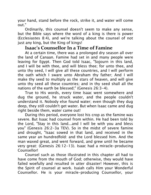your hand, stand before the rock, strike it, and water will come out."

Ordinarily, this counsel doesn't seem to make any sense, but the Bible says where the word of a king is there is power (Ecclesiastes 8:4), and we're talking about the counsel of not just any king, but the King of kings!

#### **Isaac's Counsellor In a Time of Famine**

At a certain time, there was a prolonged dry season all over the land of Canaan. Famine had set in and many people were leaving for Egypt. Then God told Isaac, "Sojourn in this land, and I will be with thee, and will bless thee; for unto thee, and unto thy seed, I will give all these countries, and I will perform the oath which I sware unto Abraham thy father; And I will make thy seed to multiply as the stars of heaven, and will give unto thy seed all these countries; and in thy seed shall all the nations of the earth be blessed;" (Genesis 26:3-4).

True to His words, every time Isaac went somewhere and dug the ground, he struck water, and the people couldn't understand it. Nobody else found water; even though they dug deep, they still couldn't get water. But when Isaac came and dug right beside them, water came out!

During this period, everyone lost his crop as the famine was severe. But Isaac had counsel from within. He had been told by the Lord, "Stay in this land...and I will be with you and bless you" (Genesis 26:2-3a TEV). So in the midst of severe famine and drought, "Isaac sowed in that land, and received in the same year an hundredfold: and the Lord blessed him. And the man waxed great, and went forward, and grew until he became very great: (Genesis 26:12-13). Isaac had a miracle-producing Counsellor!

Counsel such as those illustrated in this chapter all had to have come from the mouth of God; otherwise, they would have failed woefully and resulted in utter disaster! However, this is the Spirit of counsel at work. Isaiah calls Him your Wonderful Counsellor. He is your miracle-producing Counsellor, your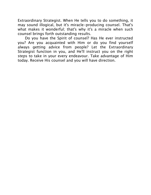Extraordinary Strategist. When He tells you to do something, it may sound illogical, but it's miracle-producing counsel. That's what makes it wonderful; that's why it's a miracle when such counsel brings forth outstanding results.

Do you have the Spirit of counsel? Has He ever instructed you? Are you acquainted with Him or do you find yourself always getting advice from people? Let the Extraordinary Strategist function in you, and He'll instruct you on the right steps to take in your every endeavour. Take advantage of Him today. Receive His counsel and you will have direction.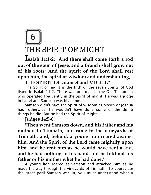## THE SPIRIT OF MIGHT

<span id="page-44-0"></span>I**saiah 11:1-2: "And there shall come forth <sup>a</sup> rod out of the stem of Jesse, and a Branch shall grow out of his roots: And the spirit of the Lord shall rest upon him, the spirit of wisdom and understanding,**

**THE SPIRIT OF counsel and MIGHT."**

The Spirit of might is the fifth of the seven Spirits of God listed in Isaiah 11:2. There was one man in the Old Testament who operated frequently in the Spirit of might. He was a judge in Israel and Samson was his name.

Samson didn't have the Spirit of wisdom as Moses or Joshua had, otherwise, he wouldn't have done some of the dumb things he did. But he had the Spirit of might.

#### **Judges 14:5-6:**

**"Then went Samson down, and his father and his mother, to Timnath, and came to the vineyards of Timnath: and, behold, a young lion roared against him. And the Spirit of the Lord came mightily upon him, and he rent him as he would have rent a kid, and he had nothing in his hand: but he told not his father or his mother what he had done."**

A young lion roared at Samson and attacked him as he made his way through the vineyards of Timnath. To appreciate the great peril Samson was in, you must understand what a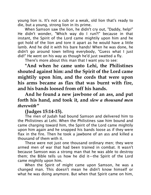young lion is. It's not a cub or a weak, old lion that's ready to die, but a young, strong lion in its prime.

When Samson saw the lion, he didn't cry out, "Daddy, help!" He didn't wonder, "Which way do I run?!" because in that instant, the Spirit of the Lord came mightily upon him and he got hold of the lion and tore it apart as he would have a little lamb. And he did it with his bare hands! When he was done, he didn't go around town telling everybody, "Guess what I just did!" He went on his way as though he'd just swatted a fly.

There's more about this man that I want you to see:

**"And when he came unto Lehi, the Philistines shouted against him: and the Spirit of the Lord came mightily upon him, and the cords that were upon his arms became as flax that was burnt with fire, and his bands loosed from off his hands.**

**And he found a new jawbone of an ass, and put forth his hand, and took it, and** *slew a thousand men therewith"*

#### **(Judges 15:14-15).**

The men of Judah had bound Samson and delivered him to the Philistines at Lehi. When the Philistines saw him bound and came charging toward him, the Spirit of the Lord came mightily upon him again and he snapped his bands loose as if they were flax in the fire. Then he took a jawbone of an ass and killed a thousand of them with it.

These were not just one thousand ordinary men; they were armed men of war that had been trained in combat. It wasn't because Samson was a strong man that he was able to destroy them; the Bible tells us how he did it—the Spirit of the Lord came mightily upon him.

When the Spirit of might came upon Samson, he was a changed man. This doesn't mean he didn't know himself or what he was doing anymore. But when that Spirit came on him,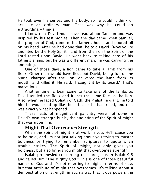He took over his senses and his body, so he couldn't think or act like an ordinary man. That was why he could do extraordinary things.

I know that David must have read about Samson and was inspired by his testimonies. Then the day came when Samuel, the prophet of God, came to his father's house and poured oil on his head. After he had done that, he told David, "Now you're anointed by the Holy Spirit," and from then on the Spirit of the Lord rested upon David. He went back to taking care of his father's sheep, but he was a different man; he was carrying the anointing.

One of those days, a lion came to take a lamb from his flock. Other men would have fled, but David, being full of the Spirit, charged after the lion, delivered the lamb from its mouth, and killed it. He said, "I caught it by its beard." That's marvellous!

Another time, a bear came to take one of the lambs as David tended the flock and it met the same fate as the lion. Also, when he faced Goliath of Gath, the Philistine giant, he told him he would end up like those beasts he had killed, and that was exactly what happened.

These feats of magnificent gallantry were not done in David's own strength but by the anointing of the Spirit of might that was upon him.

#### **Might That Overcomes Strength**

When the Spirit of might is at work in you, He'll cause you to be bold, and I'm not just talking about you trying to muster boldness or trying to remember Scriptures to quote when trouble strikes. The Spirit of might, not only gives you boldness, but also brings you might that overcomes strength.

Isaiah prophesied concerning the Lord Jesus in Isaiah 9:6 and called Him "The Mighty God." This is one of those beautiful names of God and it's not referring to might in terms of size, but that attribute of might that overcomes. It's talking about a demonstration of strength in such a way that it overpowers the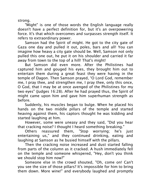strong.

"Might" is one of those words the English language really doesn't have a perfect definition for, but it's an overpowering force. It's that which overcomes and surpasses strength itself. It refers to extraordinary power.

Samson had the Spirit of might. He got to the city gate of Gaza one day and pulled it out, poles, bars and all! You can imagine how heavy a city gate should be. Well, Samson not only pulled this one out, he put it on his shoulder and carried it far away from town to the top of a hill! That's might!

But Samson did even more. After the Philistines had captured him and gouged his eyes, they brought him out to entertain them during a great feast they were having in the temple of Dagon. Then Samson prayed, "O Lord God, remember me, I pray thee, and strengthen me, I pray thee, only this once, O God, that I may be at once avenged of the Philistines for my two eyes" (Judges 16:28). After he had prayed thus, the Spirit of might came upon him and gave him superhuman strength as before.

Suddenly, his muscles began to bulge. When he placed his hands on the two middle pillars of the temple and started heaving against them, his captors thought he was kidding and started laughing at him.

However, some were uneasy and they said, "Did you hear that cracking noise? I thought I heard something breaking."

Others reassured them, "Stop worrying; he's just entertaining us," and they continued drinking, eating and laughing at Samson as he busied himself with the pillars.

Then the cracking noise increased and dust started falling from parts of the column as it cracked. A hush immediately fell on the temple and someone whispered, "Hey, don't you think we should stop him now?"

Someone else in the crowd shouted, "Oh, come on! Can't you see the size of those pillars? It's impossible for him to bring them down. More wine!" and everybody laughed and promptly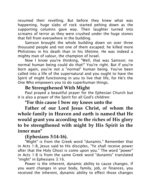resumed their revelling. But before they knew what was happening, huge slabs of rock started pelting down as the supporting columns gave way. Their laughter turned into screams of terror as they were crushed under the huge stones that fell from everywhere in the building.

Samson brought the whole building down on over three thousand people and not one of them escaped; he killed more Philistines in his death than in his lifetime. He was indeed a mighty man of valour, the champion of Israel.

Now I know you're thinking, "Well, that was Samson; no normal human being could do that!" You're right. But if you're born again, you're not a "normal" human being. You've been called into a life of the supernatural and you ought to have the Spirit of might functioning in you to live that life, for He's the One Who empowers you to do superhuman things.

#### **Be Strengthened With Might**

Paul prayed a beautiful prayer for the Ephesian Church but it is also a prayer of the Spirit for all God's children:

#### **"For this cause I bow my knees unto the**

**Father of our Lord Jesus Christ, of whom the whole family in Heaven and earth is named that He would grant you according to the riches of His glory to be strengthened with might by His Spirit in the inner man"**

#### **(Ephesians 3:14-16).**

"Might" is from the Greek word "dunamis." Remember that in Acts 1:8, Jesus said to His disciples, "Ye shall receive power after that the Holy Ghost is come upon you." The word "power" in Acts 1:8 is from the same Greek word "dunamis" translated "might" in Ephesians 3:16.

Power is the inherent, dynamic ability to cause changes. If you want changes in your body, family, job, or finances, you received the inherent, dynamic ability to effect those changes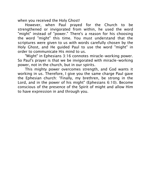when you received the Holy Ghost!

However, when Paul prayed for the Church to be strengthened or invigorated from within, he used the word "might" instead of "power." There's a reason for his choosing the word "might" this time. You must understand that the scriptures were given to us with words carefully chosen by the Holy Ghost, and He guided Paul to use the word "might" in order to communicate His mind to us.

"Might" in Ephesians 3:16 connotes miracle-working power. So Paul's prayer is that we be invigorated with miracle-working power, not in the church, but in our spirits.

This mighty power overcomes strength, and God wants it working in us. Therefore, I give you the same charge Paul gave the Ephesian church: "Finally, my brethren, be strong in the Lord, and in the power of his might" (Ephesians 6:10). Become conscious of the presence of the Spirit of might and allow Him to have expression in and through you.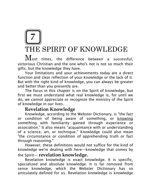## THE SPIRIT OF KNOWLEDGE

<span id="page-50-0"></span> $M_{\text{ost}}$  times, the difference between a successful, victorious Christian and the one who's not is not so much their gifts, but the knowledge they have.

Your limitations and your achievements today are a direct function and clear reflection of your knowledge or the lack of it. But with the right kind of knowledge, you can always be greater and better than you presently are.

The focus in this chapter is on the Spirit of knowledge, but first we must understand what real knowledge is, for until we do, we cannot appreciate or recognize the ministry of the Spirit of knowledge in our lives.

#### **Revelation Knowledge**

Knowledge, according to the Webster Dictionary, is "the fact or condition of being aware of something, or knowing something with familiarity gained through experience or association." It also means "acquaintance with or understanding of a science, art, or technique." Knowledge could also mean "the circumstance or condition of apprehending truth or fact through reasoning."

However, these definitions would not suffice for the kind of knowledge we're dealing with here—knowledge that comes by the Spirit— **revelation knowledge.**

Revelation knowledge is exact knowledge. It is specific, specialized and absolute knowledge. It is far removed from sense knowledge, which the Webster Dictionary has so articulately defined for us. Revelation knowledge is knowledge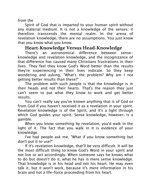from the

Spirit of God that is imparted to your human spirit without any material medium. It is not a knowledge of the senses; it therefore transcends the mental realm. In the arena of revelation knowledge, there are no assumptions. You just know that you know what you know.

#### **Heart-Knowledge Versus Head-Knowledge**

There's an astronomical difference between senseknowledge and revelation knowledge, and the incognizance of that difference has caused many Christians frustrations in their lives. They feel they know God's Word better than the results they're experiencing in their lives indicate. So they keep wondering and asking, "What's the problem? Why am I not getting better results than these?"

The problem with such people is that the knowledge is in their heads and not their hearts. That's the reason they just can't seem to put what they know to work and get better results.

You can't really say you've known anything that is of God or from God if you haven't received it as a revelation in your spirit. Revelation knowledge is of the Spirit, and it's a light through which God guides your spirit. Sense knowledge, however, is a gamble.

When you know something by revelation, you'd walk in the light of it. The fact that you walk in it is evidence of your knowledge.

I've had people ask me, "What if you know something but don't put it to use?"

If it's revelation knowledge, that'll be very difficult. It will be the most difficult thing to know God's Word in your spirit and not live or act accordingly. When someone says he knows what to do but doesn't do it, what he has is mere sense knowledge. That knowledge is in his head and not his heart. He may even talk it, but it won't work, because it's mere information in his brain and not a life-force proceeding from his heart.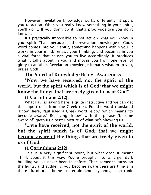However, revelation knowledge works differently; it spurs you to action. When you really know something in your spirit, you'll do it. If you don't do it, that's proof-positive you don't know it.

It's practically impossible to not act on what you know in your spirit. That's because as the revelation knowledge of God's Word comes into your spirit, something happens within you. It works in your mind, renews your thinking, and becomes in you a vital force that causes you to live accordingly. It produces what it talks about in you and moves you from one level of glory to another. Revelation knowledge imparts wisdom to you, praise God!

#### **The Spirit of Knowledge Brings Awareness**

**"Now we have received, not the spirit of the world, but the spirit which is of God; that we might know the things that are freely given to us of God"**

#### **(1 Corinthians 2:12).**

What Paul is saying here is quite instructive and we can get the import of it from the Greek text. For the word translated "know" here, Paul used a Greek word "eido," which means "to become aware." Replacing "know" with the phrase "become aware of" gives us a better picture of what he's showing us:

**"...we have received, not the spirit of the world, but the spirit which is of God; that we might become aware of the things that are freely given to us of God."**

#### **(1 Corinthians 2:12).**

This is a very significant point, but what does it mean? Think about it this way: You're brought into a large, dark building you've never been in before. Then someone turns on the lights, and suddenly, you become aware there are things in there—furniture, home entertainment systems, electronic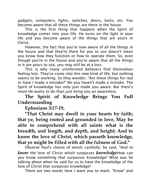gadgets, computers, lights, switches, doors, locks, etc. You become aware that all these things are there in the house.

This is the first thing that happens when the Spirit of knowledge comes into your life. He turns on the light in your life and you become aware of the things that are yours in Christ.

However, the fact that you're now aware of all the things in the house and that they're there for you to use doesn't mean you know how they function or how to operate them. So, even though you're in the house and you're aware that all the things in it are yours to use, you may still be at a loss.

This is why many uninformed believers find themselves feeling lost. They've come into this new kind of life, but nothing seems to be working. So they wonder, "Are these things for real or have I made a mistake?" No you haven't made a mistake. The Spirit of knowledge has only just made you aware. But there's more He wants to do than just bring you an awareness.

**The Spirit of Knowledge Brings You Full Understanding**

**Ephesians 3:17-19,**

**"That Christ may dwell in your hearts by faith; that ye, being rooted and grounded in love, May be able to comprehend with all saints what is the breadth, and length, and depth, and height; And to know the love of Christ, which passeth knowledge, that ye might be filled with all the fulness of God."**

Observe Paul's choice of words carefully; he said, "And to *know* the love of Christ which surpasses *knowledge*How can you know something that surpasses knowledge? What was he talking about when he said for us to have the knowledge of the love of Christ that surpasses knowledge?

There are two words here I want you to mark: "Know" and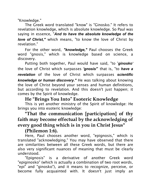"Knowledge."

The Greek word translated "know" is "Ginosko." It refers to revelation knowledge, which is absolute knowledge. So Paul was saying in essence, "*And to have the absolute knowledge of the love of Christ,"* which means, "to know the love of Christ by revelation."

For the other word, *"knowledge,"* Paul chooses the Greek word "gnosis," which is knowledge based on science, a discovery.

Putting both together, Paul would have said, "to '*ginosko'* the love of Christ which surpasses *'gnosis'*" that is, "to *have a revelation* of the love of Christ which surpasses *scientific knowledge or human discovery."* He was talking about knowing the love of Christ beyond your senses and human definitions, but according to revelation. And this doesn't just happen; it comes by the Spirit of knowledge.

#### **He "Brings You Into" Esoteric Knowledge**

This is yet another ministry of the Spirit of knowledge: He brings you into esoteric knowledge:

**"That the communication [participation] of thy faith may become effectual by the acknowledging of every good thing which is in you in Christ Jesus"**

**(Philemon 1:6).**

Here, Paul chooses another word, "epignosis," which is translated "acknowledging." You may have observed that there are similarities between all these Greek words, but there are also very significant nuances of meaning that must be clearly understood.

"Epignosis" is a derivative of another Greek word "epiginosko" (which is actually a combination of two root words, "epi" and "ginosko"), and it means to recognize, perceive, or become fully acquainted with. It doesn't just imply an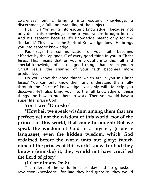awareness, but a bringing into esoteric knowledge, a discernment, a full understanding of the subject.

I call it a ''bringing into esoteric knowledge,'' because, not only does this knowledge come to you, you're brought into it. And it's esoteric because it's knowledge meant only for the "initiated." This is what the Spirit of Knowledge does—He brings you into esoteric knowledge.

Paul says the communication of your faith becomes effective by the "epignosis" of every good thing in you in Christ Jesus. This means that as you're brought into this full and special knowledge of all the good things that are in you in Christ Jesus, the sharing of your faith becomes more productive.

Do you know the good things which are in you in Christ Jesus? You can only know them and understand them fully through the Spirit of knowledge. Not only will He help you discover, He'll also bring you into the full knowledge of these things and how to put them to work. Then you would have a super life, praise God!

#### **You Have "Ginosko"**

**"Howbeit we speak wisdom among them that are perfect: yet not the wisdom of this world, nor of the princes of this world, that come to nought: But we speak the wisdom of God in a mystery (esoteric language), even the hidden wisdom, which God ordained before the world unto our glory: Which none of the princes of this world knew: for had they known (ginosko) it, they would not have crucified the Lord of glory"**

#### **(1 Corinthians 2:6-8).**

The rulers of the world in Jesus' day had no ginosko revelation knowledge—for had they had ginosko, they would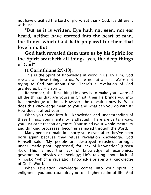not have crucified the Lord of glory. But thank God, it's different with us:

**"But as it is written, Eye hath not seen, nor ear heard, neither have entered into the heart of man, the things which God hath prepared for them that love him. But**

**God hath revealed them unto us by his Spirit: for the Spirit searcheth all things, yea, the deep things of God"**

**(1 Corinthians 2:9-10).**

This is the Spirit of Knowledge at work in us. By Him, God reveals all these things to us. We're not at a loss. We're not trying to find out about God. There's a revelation of God granted us by His Spirit.

Remember, the first thing He does is to make you aware of all the things that are yours in Christ, then He brings you into full knowledge of them. However, the question now is: What does this knowledge mean to you and what can you do with it? How does it affect you?

When you come into full knowledge and understanding of these things, your mentality is affected. There are certain ways you just can't reason anymore. Your mind (your whole mentality and thinking processes) becomes renewed through the Word.

Many people remain in a sorry state even after they've been born again because they refuse revelation knowledge. God Himself said, "My people are destroyed (crushed, brought under, made poor, oppressed) for lack of knowledge" (Hosea 4:6). This is not the lack of knowledge of economics, government, physics or theology; He's talking about lack of "ginosko," which is revelation knowledge or spiritual knowledge of God's Word.

When revelation knowledge comes into your spirit, it enlightens you and catapults you to a higher realm of life. And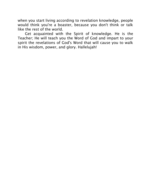when you start living according to revelation knowledge, people would think you're a boaster, because you don't think or talk like the rest of the world.

Get acquainted with the Spirit of knowledge. He is the Teacher; He will teach you the Word of God and impart to your spirit the revelations of God's Word that will cause you to walk in His wisdom, power, and glory. Hallelujah!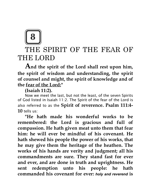

### <span id="page-58-0"></span>THE SPIRIT OF THE FEAR OF THE LORD

**And the spirit of the Lord shall rest upon him, the spirit of wisdom and understanding, the spirit of counsel and might, the spirit of knowledge and of the fear of the Lord:"**

#### **(Isaiah 11:2).**

Now we meet the last, but not the least, of the seven Spirits of God listed in Isaiah 11:2. The Spirit of the fear of the Lord is also referred to as the **Spirit of reverence. Psalm 111:4-**  $10$  tells us:

**"He hath made his wonderful works to be remembered: the Lord is gracious and full of compassion. He hath given meat unto them that fear him: he will ever be mindful of his covenant. He hath shewed his people the power of his works, that he may give them the heritage of the heathen. The works of his hands are verity and judgment; all his commandments are sure. They stand fast for ever and ever, and are done in truth and uprightness. He sent redemption unto his people: he hath commanded his covenant for ever:** *holy and reverend* **is**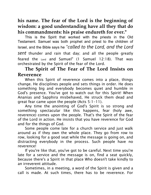**his name. The fear of the Lord is the beginning of wisdom: a good understanding have all they that do his commandments: his praise endureth for ever."**

This is the Spirit that worked with the priests in the Old Testament. Samuel was both prophet and priest to the children of Israel, and the Bible says he *"called to the Lord, and the Lord sent* thunder and rain that day; and all the people greatly feared the Lord and Samuel" (1 Samuel 12:18). That was orchestrated by the Spirit of the fear of the Lord.

#### **The Spirit of The Fear of The Lord Insists on Reverence**

When this Spirit of reverence comes into a place, things change. He disciplines people and sets things in order. He does something big and everybody becomes quiet and humble in God's presence. You've got to watch out for this Spirit! When Ananias and Sapphira misbehaved, He struck them dead and great fear came upon the people (Acts 5:1-11).

Any time the anointing of God's Spirit is so strong and something spectacular like this happens, fear (holy awe, reverence) comes upon the people. That's the Spirit of the fear of the Lord in action. He insists that you have reverence for God and for the things of God.

Some people come late for a church service and just walk around as if they own the whole place. They go from row to row, looking for a good seat while the message is going on, and distracting everybody in the process. Such people have no reverence!

If you're like that, you've got to be careful. Next time you're late for a service and the message is on, find a seat quickly, because there's a Spirit in that place Who doesn't take kindly to an irreverent attitude.

Sometimes, in a meeting, a word of the Spirit is given and a call is made. At such times, there has to be reverence. For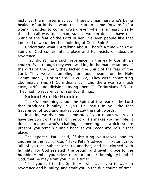instance, the minister may say, "There's a man here who's being healed of arthritis. I want that man to come forward." If a woman decides to come forward even when she heard clearly that the call was for a man, such a woman doesn't have that Spirit of the fear of the Lord in her. I've seen people like that knocked down under the anointing of God's Spirit!

Understand what I'm talking about. There's a time when the Spirit of God comes into a place and He insists on absolute reverence.

They didn't have such reverence in the early Corinthian church. Even though they were walking in the manifestations of the gifts of the Spirit, they lacked the Spirit of the fear of the Lord. They were scrambling for food meant for the Holy Communion (1 Corinthians 11:20-22). They were committing abominable sins (1 Corinthians 5:1) and there was so much envy, strife and division among them (1 Corinthians 3:3-4). They had no reverence for spiritual things.

#### **Submit And Be Humble**

There's something about the Spirit of the fear of the Lord that produces humility in you. He instils in you the fear (reverence) of God and makes you say the right words.

Insulting words cannot come out of your mouth when you have the Spirit of the fear of the Lord. He makes you humble. It doesn't matter who's chairing a meeting in which you're present, you remain humble because you recognize He's in that place.

The apostle Paul said, "Submitting yourselves one to another in the fear of God." Take Peter's advice in 1 Peter 5:5-6: "all of you be subject one to another, and be clothed with humility: for God resisteth the proud, and giveth grace to the humble. Humble yourselves therefore under the mighty hand of God, that he may exalt you in due time:"

Yield yourself to this Spirit. He will cause you to walk in reverence and humility, and exalt you in the due course of time.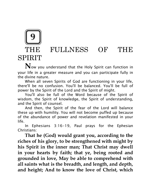## <span id="page-61-0"></span>THE FULLNESS OF SPIRIT

**N**ow you understand that the Holy Spirit can function in your life in a greater measure and you can participate fully in the divine nature.

When all seven Spirits of God are functioning in your life, there'll be no confusion. You'll be balanced. You'll be full of power by the Spirit of the Lord and the Spirit of might.

You'll also be full of the Word because of the Spirit of wisdom, the Spirit of knowledge, the Spirit of understanding, and the Spirit of counsel.

And then, the Spirit of the fear of the Lord will balance these up with humility. You will not become puffed up because of the abundance of power and revelation manifested in your life.

In Ephesians 3:16-19, Paul prays for the Ephesian Christians:

**That he (God) would grant you, according to the riches of his glory, to be strengthened with might by his Spirit in the inner man; That Christ may dwell in your hearts by faith; that ye, being rooted and grounded in love, May be able to comprehend with all saints what is the breadth, and length, and depth, and height; And to know the love of Christ, which**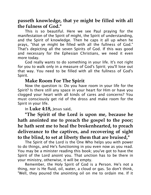#### **passeth knowledge, that ye might be filled with all the fulness of God."**

This is so beautiful. Here we see Paul praying for the manifestation of the Spirit of might, the Spirit of understanding, and the Spirit of knowledge. Then he caps it all up when he prays, "that ye might be filled with all the fullness of God." That's depicting all the seven Spirits of God. If this was good and necessary for the Ephesian Christians, we need it even more today.

God really wants to do something in your life. It's not right for you to walk only in a measure of God's Spirit; you'll lose out that way. You need to be filled with all the fullness of God's Spirit.

#### **Make Room For The Spirit**

Now the question is: Do you have room in your life for the Spirit? Is there still any space in your heart for Him or have you clogged your heart with all kinds of cares and concerns? You must consciously get rid of the dross and make room for the Spirit in your life.

#### In **Luke 4:18,** Jesus said,

**"The Spirit of the Lord is upon me, because he hath anointed me to preach the gospel to the poor; he hath sent me to heal the brokenhearted, to preach deliverance to the captives, and recovering of sight to the blind, to set at liberty them that are bruised, "**

The Spirit of the Lord is the One Who helps you with power to do things, and He's functioning in you even now as you read. You may be a minister reading this book; you've got to have the Spirit of the Lord anoint you. That unction has to be there in your ministry, otherwise, it will be empty.

Remember, the Holy Spirit of God is a Person. He's not a thing, nor is He fluid, oil, water, a cloud or gas. So don't think, "Well, they poured the anointing oil on me to ordain me. If it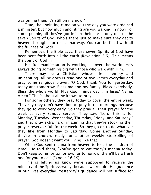was on me then, it's still on me now."

True, the anointing came on you the day you were ordained a minister, but how much anointing are you walking in now? For some people, all they've got left in their life is only one of the seven Spirits of God, Who's there just to make sure they get to heaven. It ought not to be that way. You can be filled with all the fullness of God!

Remember, the Bible says, these seven Spirits of God have been sent forth into all the earth (Revelation 5:6). This means the Spirit of God in

His full manifestation is working all over the world. He's always doing something big with those who walk with Him.

There may be a Christian whose life is empty and uninspiring. All he does is read one or two verses everyday and pray some religious prayer: "O God, thank You for yesterday, today and tomorrow. Bless me and my family. Bless everybody. Bless the whole world. Plus God, minus devil, in Jesus' Name. Amen." That's about all he knows to pray!

For some others, they pray today to cover the entire week. They say they don't have time to pray in the mornings because they go to work very early. So they pray all their prayer for the week at every Sunday service. They say, "Lord, this is for Monday, Tuesday, Wednesday, Thursday, Friday, and Saturday," and they pray extra hard, imagining that they're stocking their prayer reservoir full for the week. So they go on to do whatever they like from Monday to Saturday. Come another Sunday, they're in church, ready for another weekly stockpiling of prayer. God doesn't want you living like that.

When God sent manna from heaven to feed the children of Israel, He told them, "You've got to eat today's manna today. Don't keep some for tomorrow, for tomorrow, there'll be a fresh one for you to eat" (Exodus 16:19).

This is letting us know we're supposed to receive the ministry of the Spirit everyday, because we require His guidance in our lives everyday. Yesterday's guidance will not suffice for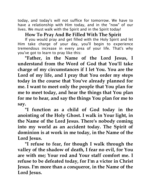today, and today's will not suffice for tomorrow. We have to have a relationship with Him today, and in the "now" of our lives. We must walk with the Spirit and in the Spirit today!

#### **How To Pray And Be Filled With The Spirit**

If you would pray and get filled with the Holy Spirit and let Him take charge of your day, you'll begin to experience tremendous increase in every area of your life. That's why you've got to learn to pray like this:

**"Father, in the Name of the Lord Jesus, I understand from the Word of God that You'll take charge of my circumstances if I let You. You are the Lord of my life, and I pray that You order my steps today in the course that You've already planned for me. I want to meet only the people that You plan for me to meet today, and hear the things that You plan for me to hear, and say the things You plan for me to say.**

**"I function as a child of God today in the anointing of the Holy Ghost. I walk in Your light, in the Name of the Lord Jesus. There's nobody coming into my world as an accident today. The Spirit of dominion is at work in me today, in the Name of the Lord Jesus.**

**"I refuse to fear, for though I walk through the valley of the shadow of death, I fear no evil, for You are with me; Your rod and Your staff comfort me. I refuse to be defeated today, for I'm a victor in Christ Jesus. I'm more than a conqueror, in the Name of the Lord Jesus.**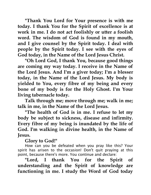**"Thank You Lord for Your presence is with me today. I thank You for the Spirit of excellence is at work in me. I do not act foolishly or utter a foolish word. The wisdom of God is found in my mouth, and I give counsel by the Spirit today. I deal with people by the Spirit today. I see with the eyes of God today, in the Name of the Lord Jesus Christ.**

**"Oh Lord God, I thank You, because good things are coming my way today. I receive in the Name of the Lord Jesus. And I'm a giver today; I'm a blesser today, in the Name of the Lord Jesus. My body is yielded to You, every fibre of my being and every bone of my body is for the Holy Ghost. I'm Your living tabernacle today.**

**Talk through me; move through me; walk in me; talk in me, in the Name of the Lord Jesus.**

**"The health of God is in me. I refuse to let my body be subject to sickness, disease and infirmity. Every fibre of my being is inundated by the life of God. I'm walking in divine health, in the Name of Jesus.**

#### **Glory to God!"**

How can you be defeated when you pray like this? Your spirit has arisen to the occasion! Don't quit praying at this point, because there's more. You continue and declare:

**"Lord, I thank You for the Spirit of understanding and the Spirit of knowledge are functioning in me. I study the Word of God today**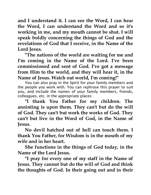**and I understand it. I can see the Word, I can hear the Word, I can understand the Word and so it's working in me, and my mouth cannot be shut. I will speak boldly concerning the things of God and the revelations of God that I receive, in the Name of the Lord Jesus.**

**"The nations of the world are waiting for me and I'm coming in the Name of the Lord. I've been commissioned and sent of God. I've got a message from Him to the world, and they will hear it, in the Name of Jesus. Watch out world, I'm coming!"**

You can also pray in the Spirit for your family members and the people you work with. You can rephrase this prayer to suit you, and include the names of your family members, friends, colleagues, etc. in the appropriate places:

**"I thank You Father for my children. The anointing is upon them. They can't but do the will of God. They can't but work the works of God. They can't but live in the Word of God, in the Name of Jesus.**

**No devil hatched out of hell can touch them. I thank You Father, for Wisdom is in the mouth of my wife and in her heart.**

**She functions in the things of God today, in the Name of the Lord Jesus.**

**"I pray for every one of my staff in the Name of Jesus. They cannot but do the will of God and think the thoughts of God. In their going out and in their**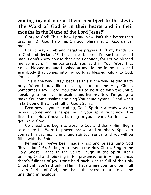**coming in, not one of them is subject to the devil. The Word of God is in their hearts and in their mouths in the Name of the Lord Jesus!"**

Glory to God! This is how I pray. Now, isn't this better than praying, "Oh God, help me. Oh God, bless me, Oh God deliver me..."?

I can't pray dumb and negative prayers. I lift my hands up to God and declare, "Father, I'm so blessed. I'm such a blessed man. I don't know how to thank You enough, for You've blessed me so much, I'm embarrassed. You said in Your Word that You've blessed me and I looked at my life and found it so, and everybody that comes into my world is blessed. Glory to God, I'm blessed!"

This is the way I pray, because this is the way He told us to pray. When I pray like this, I get full of the Holy Ghost. Sometimes I say, "Lord, You told us to be filled with the Spirit, speaking to ourselves in psalms and hymns. Now, I'm going to make You some psalms and sing You some hymns..." and when I start doing that, I get full of God's Spirit.

Even now as you're reading, God's Spirit is already working in you. Something is happening in your spirit right now. The fire of the Holy Ghost is burning in your heart. So don't wait; get in the flow!

Go ahead and begin to worship God and thank Him. Begin to declare His Word in prayer, praise, and prophecy. Speak to yourself in psalms, hymns, and spiritual songs, and you will be filled with the Spirit.

Remember, we've been made kings and priests unto God (Revelation 1:6). So begin to pray in the Holy Ghost. Sing in the Holy Ghost. Dance in the Spirit. Laugh in the Spirit. Keep praising God and rejoicing in His presence, for in His presence, there's fullness of joy. Don't hold back. Get so full of the Holy Ghost until you're drunk in Him. That's where you function in all seven Spirits of God, and that's the secret to a life of the unending miraculous.